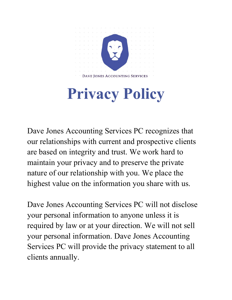

## **Privacy Policy**

Dave Jones Accounting Services PC recognizes that our relationships with current and prospective clients are based on integrity and trust. We work hard to maintain your privacy and to preserve the private nature of our relationship with you. We place the highest value on the information you share with us.

Dave Jones Accounting Services PC will not disclose your personal information to anyone unless it is required by law or at your direction. We will not sell your personal information. Dave Jones Accounting Services PC will provide the privacy statement to all clients annually.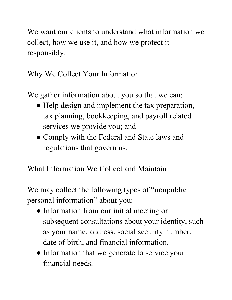We want our clients to understand what information we collect, how we use it, and how we protect it responsibly.

Why We Collect Your Information

We gather information about you so that we can:

- Help design and implement the tax preparation, tax planning, bookkeeping, and payroll related services we provide you; and
- Comply with the Federal and State laws and regulations that govern us.

What Information We Collect and Maintain

We may collect the following types of "nonpublic" personal information" about you:

- Information from our initial meeting or subsequent consultations about your identity, such as your name, address, social security number, date of birth, and financial information.
- Information that we generate to service your financial needs.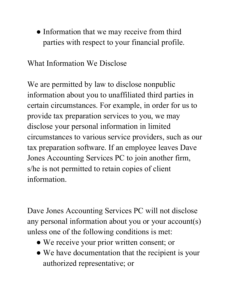• Information that we may receive from third parties with respect to your financial profile.

What Information We Disclose

We are permitted by law to disclose nonpublic information about you to unaffiliated third parties in certain circumstances. For example, in order for us to provide tax preparation services to you, we may disclose your personal information in limited circumstances to various service providers, such as our tax preparation software. If an employee leaves Dave Jones Accounting Services PC to join another firm, s/he is not permitted to retain copies of client information.

Dave Jones Accounting Services PC will not disclose any personal information about you or your account(s) unless one of the following conditions is met:

- We receive your prior written consent; or
- We have documentation that the recipient is your authorized representative; or